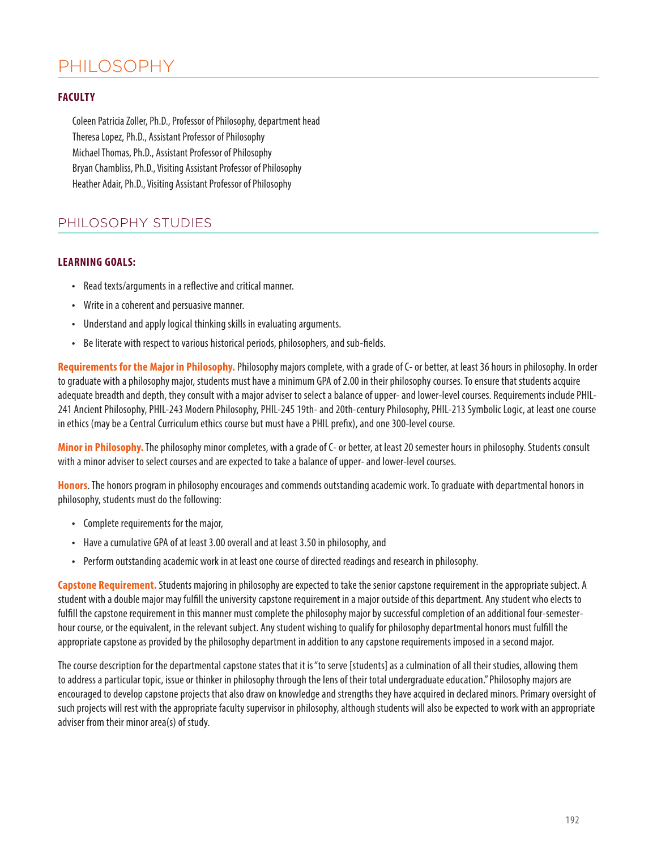# PHILOSOPHY

# **FACULTY**

Coleen Patricia Zoller, Ph.D., Professor of Philosophy, department head Theresa Lopez, Ph.D., Assistant Professor of Philosophy Michael Thomas, Ph.D., Assistant Professor of Philosophy Bryan Chambliss, Ph.D., Visiting Assistant Professor of Philosophy Heather Adair, Ph.D., Visiting Assistant Professor of Philosophy

# PHILOSOPHY STUDIES

# **LEARNING GOALS:**

- Read texts/arguments in a reflective and critical manner.
- Write in a coherent and persuasive manner.
- Understand and apply logical thinking skills in evaluating arguments.
- Be literate with respect to various historical periods, philosophers, and sub-fields.

**Requirements for the Major in Philosophy.** Philosophy majors complete, with a grade of C- or better, at least 36 hours in philosophy. In order to graduate with a philosophy major, students must have a minimum GPA of 2.00 in their philosophy courses. To ensure that students acquire adequate breadth and depth, they consult with a major adviser to select a balance of upper- and lower-level courses. Requirements include PHIL-241 Ancient Philosophy, PHIL-243 Modern Philosophy, PHIL-245 19th- and 20th-century Philosophy, PHIL-213 Symbolic Logic, at least one course in ethics (may be a Central Curriculum ethics course but must have a PHIL prefix), and one 300-level course.

**Minor in Philosophy.** The philosophy minor completes, with a grade of C- or better, at least 20 semester hours in philosophy. Students consult with a minor adviser to select courses and are expected to take a balance of upper- and lower-level courses.

**Honors**. The honors program in philosophy encourages and commends outstanding academic work. To graduate with departmental honors in philosophy, students must do the following:

- Complete requirements for the major,
- Have a cumulative GPA of at least 3.00 overall and at least 3.50 in philosophy, and
- Perform outstanding academic work in at least one course of directed readings and research in philosophy.

**Capstone Requirement.** Students majoring in philosophy are expected to take the senior capstone requirement in the appropriate subject. A student with a double major may fulfill the university capstone requirement in a major outside of this department. Any student who elects to fulfill the capstone requirement in this manner must complete the philosophy major by successful completion of an additional four-semesterhour course, or the equivalent, in the relevant subject. Any student wishing to qualify for philosophy departmental honors must fulfill the appropriate capstone as provided by the philosophy department in addition to any capstone requirements imposed in a second major.

The course description for the departmental capstone states that it is "to serve [students] as a culmination of all their studies, allowing them to address a particular topic, issue or thinker in philosophy through the lens of their total undergraduate education." Philosophy majors are encouraged to develop capstone projects that also draw on knowledge and strengths they have acquired in declared minors. Primary oversight of such projects will rest with the appropriate faculty supervisor in philosophy, although students will also be expected to work with an appropriate adviser from their minor area(s) of study.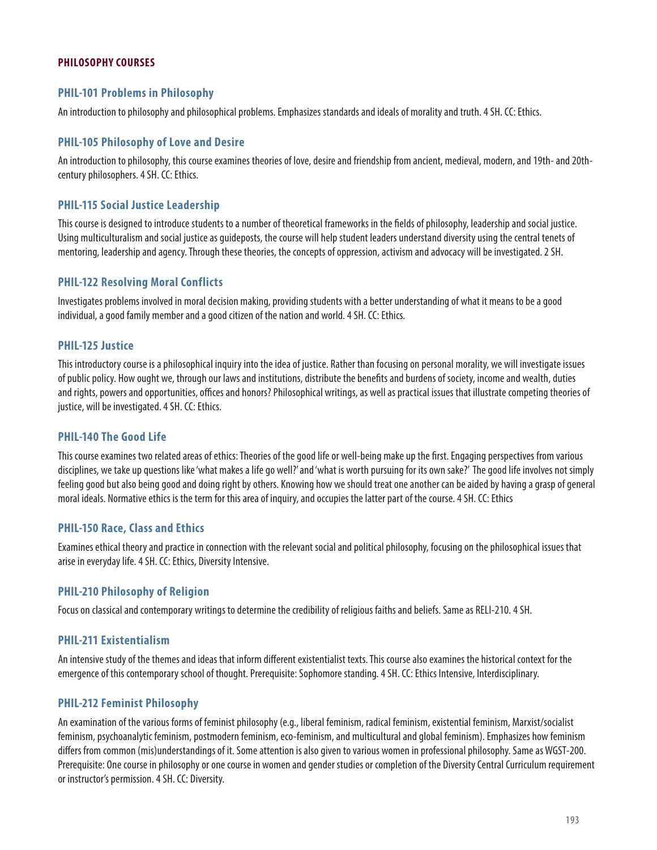# **PHILOSOPHY COURSES**

# **PHIL-101 Problems in Philosophy**

An introduction to philosophy and philosophical problems. Emphasizes standards and ideals of morality and truth. 4 SH. CC: Ethics.

#### **PHIL-105 Philosophy of Love and Desire**

An introduction to philosophy, this course examines theories of love, desire and friendship from ancient, medieval, modern, and 19th- and 20thcentury philosophers. 4 SH. CC: Ethics.

#### **PHIL-115 Social Justice Leadership**

This course is designed to introduce students to a number of theoretical frameworks in the fields of philosophy, leadership and social justice. Using multiculturalism and social justice as guideposts, the course will help student leaders understand diversity using the central tenets of mentoring, leadership and agency. Through these theories, the concepts of oppression, activism and advocacy will be investigated. 2 SH.

#### **PHIL-122 Resolving Moral Conflicts**

Investigates problems involved in moral decision making, providing students with a better understanding of what it means to be a good individual, a good family member and a good citizen of the nation and world. 4 SH. CC: Ethics.

#### **PHIL-125 Justice**

This introductory course is a philosophical inquiry into the idea of justice. Rather than focusing on personal morality, we will investigate issues of public policy. How ought we, through our laws and institutions, distribute the benefits and burdens of society, income and wealth, duties and rights, powers and opportunities, offices and honors? Philosophical writings, as well as practical issues that illustrate competing theories of justice, will be investigated. 4 SH. CC: Ethics.

#### **PHIL-140 The Good Life**

This course examines two related areas of ethics: Theories of the good life or well-being make up the first. Engaging perspectives from various disciplines, we take up questions like 'what makes a life go well?' and 'what is worth pursuing for its own sake?' The good life involves not simply feeling good but also being good and doing right by others. Knowing how we should treat one another can be aided by having a grasp of general moral ideals. Normative ethics is the term for this area of inquiry, and occupies the latter part of the course. 4 SH. CC: Ethics

#### **PHIL-150 Race, Class and Ethics**

Examines ethical theory and practice in connection with the relevant social and political philosophy, focusing on the philosophical issues that arise in everyday life. 4 SH. CC: Ethics, Diversity Intensive.

#### **PHIL-210 Philosophy of Religion**

Focus on classical and contemporary writings to determine the credibility of religious faiths and beliefs. Same as RELI-210. 4 SH.

#### **PHIL-211 Existentialism**

An intensive study of the themes and ideas that inform different existentialist texts. This course also examines the historical context for the emergence of this contemporary school of thought. Prerequisite: Sophomore standing. 4 SH. CC: Ethics Intensive, Interdisciplinary.

#### **PHIL-212 Feminist Philosophy**

An examination of the various forms of feminist philosophy (e.g., liberal feminism, radical feminism, existential feminism, Marxist/socialist feminism, psychoanalytic feminism, postmodern feminism, eco-feminism, and multicultural and global feminism). Emphasizes how feminism differs from common (mis)understandings of it. Some attention is also given to various women in professional philosophy. Same as WGST-200. Prerequisite: One course in philosophy or one course in women and gender studies or completion of the Diversity Central Curriculum requirement or instructor's permission. 4 SH. CC: Diversity.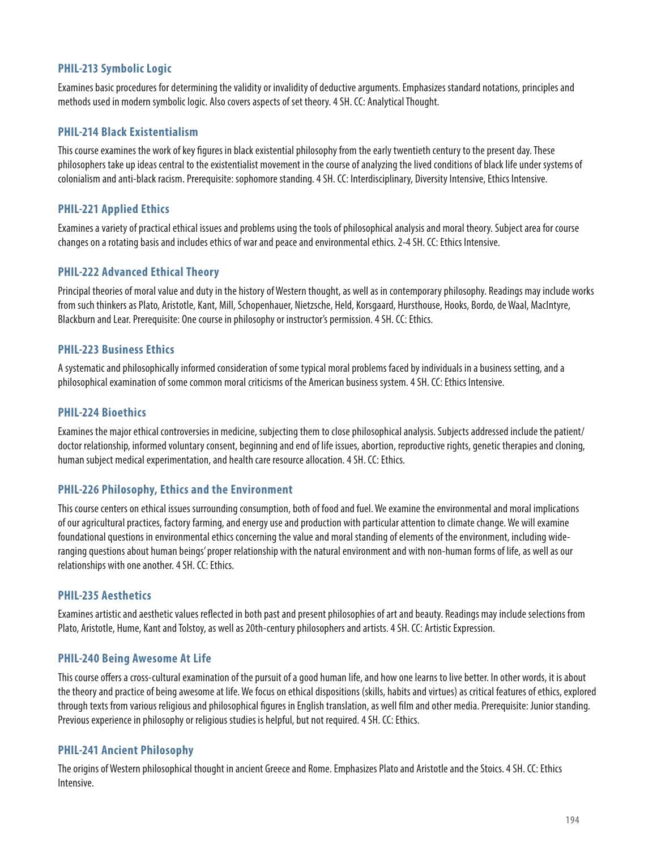# **PHIL-213 Symbolic Logic**

Examines basic procedures for determining the validity or invalidity of deductive arguments. Emphasizes standard notations, principles and methods used in modern symbolic logic. Also covers aspects of set theory. 4 SH. CC: Analytical Thought.

# **PHIL-214 Black Existentialism**

This course examines the work of key figures in black existential philosophy from the early twentieth century to the present day. These philosophers take up ideas central to the existentialist movement in the course of analyzing the lived conditions of black life under systems of colonialism and anti-black racism. Prerequisite: sophomore standing. 4 SH. CC: Interdisciplinary, Diversity Intensive, Ethics Intensive.

# **PHIL-221 Applied Ethics**

Examines a variety of practical ethical issues and problems using the tools of philosophical analysis and moral theory. Subject area for course changes on a rotating basis and includes ethics of war and peace and environmental ethics. 2-4 SH. CC: Ethics Intensive.

# **PHIL-222 Advanced Ethical Theory**

Principal theories of moral value and duty in the history of Western thought, as well as in contemporary philosophy. Readings may include works from such thinkers as Plato, Aristotle, Kant, Mill, Schopenhauer, Nietzsche, Held, Korsgaard, Hursthouse, Hooks, Bordo, de Waal, MacIntyre, Blackburn and Lear. Prerequisite: One course in philosophy or instructor's permission. 4 SH. CC: Ethics.

# **PHIL-223 Business Ethics**

A systematic and philosophically informed consideration of some typical moral problems faced by individuals in a business setting, and a philosophical examination of some common moral criticisms of the American business system. 4 SH. CC: Ethics Intensive.

# **PHIL-224 Bioethics**

Examines the major ethical controversies in medicine, subjecting them to close philosophical analysis. Subjects addressed include the patient/ doctor relationship, informed voluntary consent, beginning and end of life issues, abortion, reproductive rights, genetic therapies and cloning, human subject medical experimentation, and health care resource allocation. 4 SH. CC: Ethics.

# **PHIL-226 Philosophy, Ethics and the Environment**

This course centers on ethical issues surrounding consumption, both of food and fuel. We examine the environmental and moral implications of our agricultural practices, factory farming, and energy use and production with particular attention to climate change. We will examine foundational questions in environmental ethics concerning the value and moral standing of elements of the environment, including wideranging questions about human beings' proper relationship with the natural environment and with non-human forms of life, as well as our relationships with one another. 4 SH. CC: Ethics.

# **PHIL-235 Aesthetics**

Examines artistic and aesthetic values reflected in both past and present philosophies of art and beauty. Readings may include selections from Plato, Aristotle, Hume, Kant and Tolstoy, as well as 20th-century philosophers and artists. 4 SH. CC: Artistic Expression.

# **PHIL-240 Being Awesome At Life**

This course offers a cross-cultural examination of the pursuit of a good human life, and how one learns to live better. In other words, it is about the theory and practice of being awesome at life. We focus on ethical dispositions (skills, habits and virtues) as critical features of ethics, explored through texts from various religious and philosophical figures in English translation, as well film and other media. Prerequisite: Junior standing. Previous experience in philosophy or religious studies is helpful, but not required. 4 SH. CC: Ethics.

# **PHIL-241 Ancient Philosophy**

The origins of Western philosophical thought in ancient Greece and Rome. Emphasizes Plato and Aristotle and the Stoics. 4 SH. CC: Ethics Intensive.